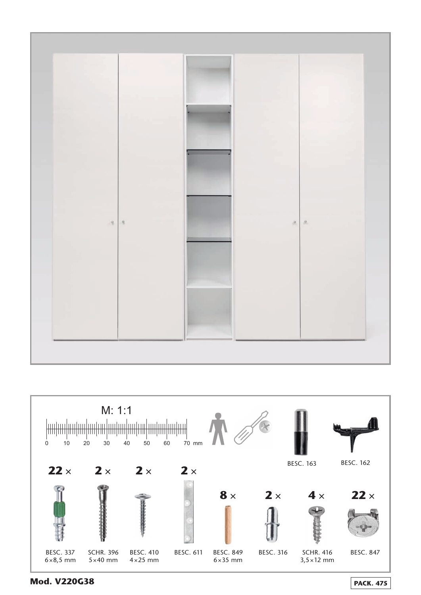



**Mod. V220G38 PACK. 475**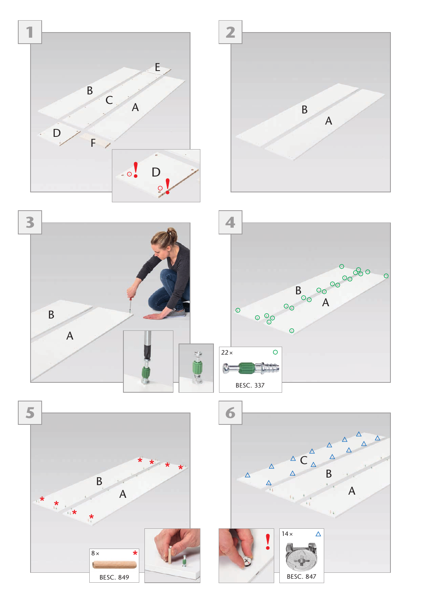

BESC. 849

BESC. 847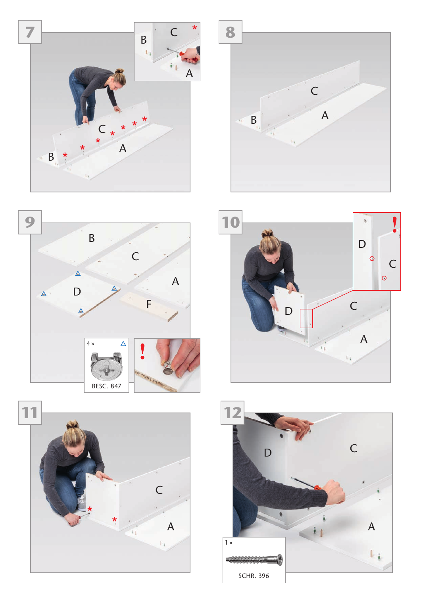









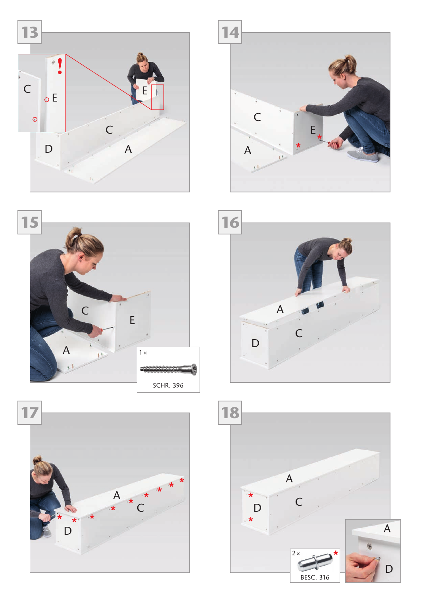









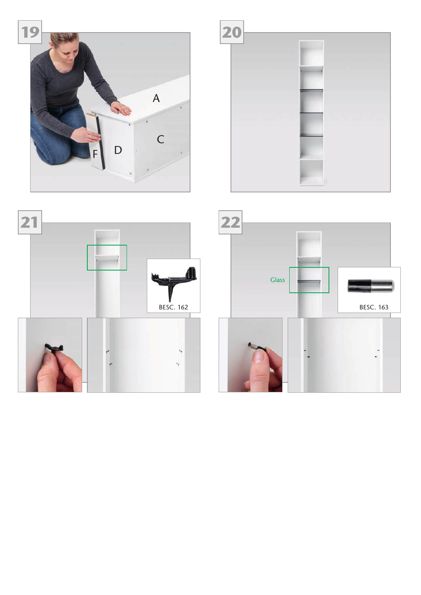



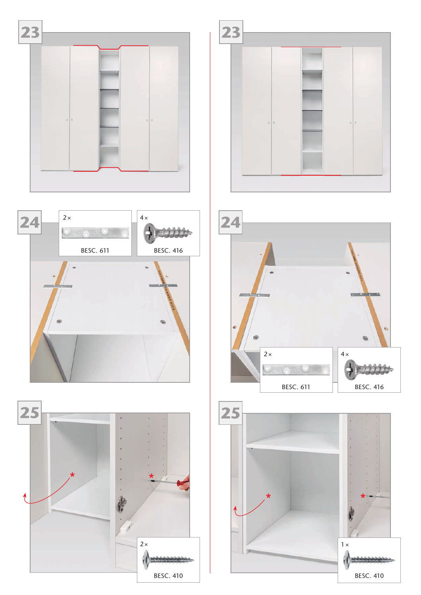









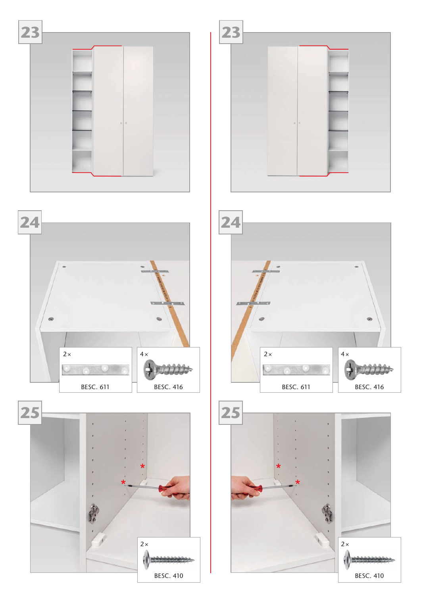









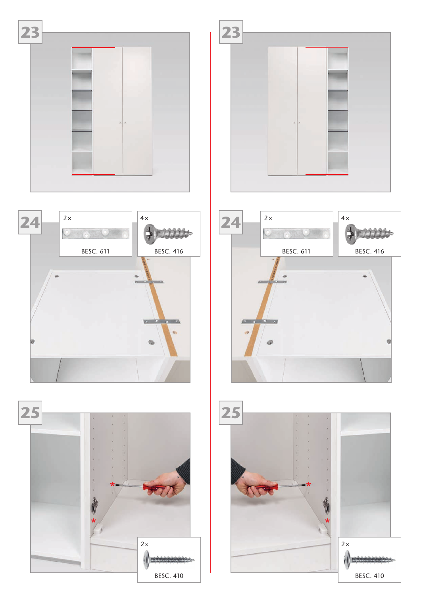